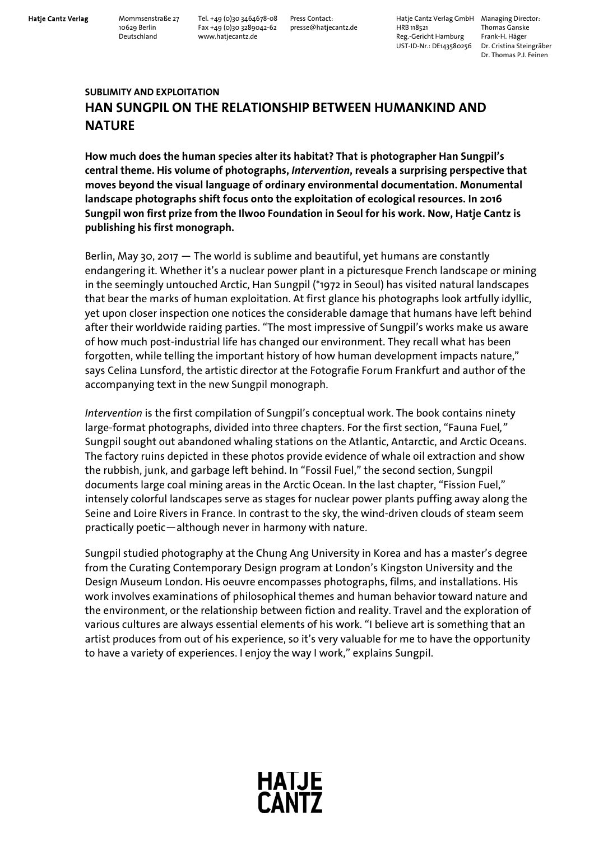Hatje Cantz Verlag Mommsenstraße 27 Tel. +49 (0)30 3464678-08 Press Contact: Hatje Cantz Verlag GmbH Managing Director:<br>10629 Berlin Fax +49 (0)30 3289042-62 presse@hatjecantz.de HRB 118521 Thomas Ganske 10629 Berlin Fax +49 (0)30 3289042-62 presse@hatjecantz.de HRB 118521 Thomas Ganske Deutschland www.hatjecantz.de Reg.-Gericht Hamburg Frank-H. Häger UST-ID-Nr.: DE143580256 Dr. Cristina Steingräber

Dr. Thomas P.J. Feinen

## **SUBLIMITY AND EXPLOITATION HAN SUNGPIL ON THE RELATIONSHIP BETWEEN HUMANKIND AND NATURE**

**How much does the human species alter its habitat? That is photographer Han Sungpil's central theme. His volume of photographs,** *Intervention***, reveals a surprising perspective that moves beyond the visual language of ordinary environmental documentation. Monumental landscape photographs shift focus onto the exploitation of ecological resources. In 2016 Sungpil won first prize from the Ilwoo Foundation in Seoul for his work. Now, Hatje Cantz is publishing his first monograph.**

Berlin, May 30, 2017  $-$  The world is sublime and beautiful, yet humans are constantly endangering it. Whether it's a nuclear power plant in a picturesque French landscape or mining in the seemingly untouched Arctic, Han Sungpil (\*1972 in Seoul) has visited natural landscapes that bear the marks of human exploitation. At first glance his photographs look artfully idyllic, yet upon closer inspection one notices the considerable damage that humans have left behind after their worldwide raiding parties. "The most impressive of Sungpil's works make us aware of how much post-industrial life has changed our environment. They recall what has been forgotten, while telling the important history of how human development impacts nature," says Celina Lunsford, the artistic director at the Fotografie Forum Frankfurt and author of the accompanying text in the new Sungpil monograph.

*Intervention* is the first compilation of Sungpil's conceptual work. The book contains ninety large-format photographs, divided into three chapters. For the first section, "Fauna Fuel*,"* Sungpil sought out abandoned whaling stations on the Atlantic, Antarctic, and Arctic Oceans. The factory ruins depicted in these photos provide evidence of whale oil extraction and show the rubbish, junk, and garbage left behind. In "Fossil Fuel," the second section, Sungpil documents large coal mining areas in the Arctic Ocean. In the last chapter, "Fission Fuel," intensely colorful landscapes serve as stages for nuclear power plants puffing away along the Seine and Loire Rivers in France. In contrast to the sky, the wind-driven clouds of steam seem practically poetic—although never in harmony with nature.

Sungpil studied photography at the Chung Ang University in Korea and has a master's degree from the Curating Contemporary Design program at London's Kingston University and the Design Museum London. His oeuvre encompasses photographs, films, and installations. His work involves examinations of philosophical themes and human behavior toward nature and the environment, or the relationship between fiction and reality. Travel and the exploration of various cultures are always essential elements of his work. "I believe art is something that an artist produces from out of his experience, so it's very valuable for me to have the opportunity to have a variety of experiences. I enjoy the way I work," explains Sungpil.